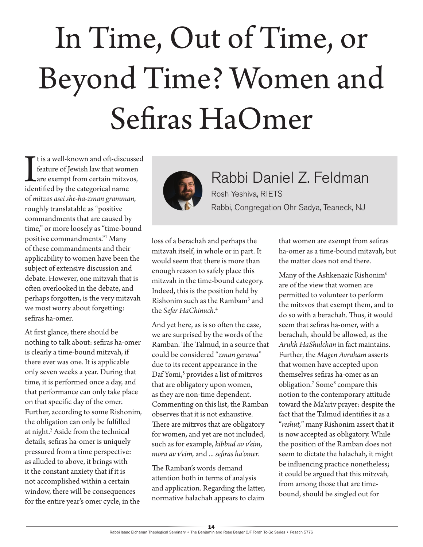## In Time, Out of Time, or Beyond Time? Women and Sefiras HaOmer

I t is a well-known and oft-discu<br>feature of Jewish law that wom<br>are exempt from certain mitz<br>identified by the categorical name t is a well-known and oft-discussed feature of Jewish law that women are exempt from certain mitzvos*,*  of *mitzos asei she-ha-zman gramman,*  roughly translatable as "positive commandments that are caused by time," or more loosely as "time-bound positive commandments."1 Many of these commandments and their applicability to women have been the subject of extensive discussion and debate. However, one mitzvah that is often overlooked in the debate, and perhaps forgotten, is the very mitzvah we most worry about forgetting: sefiras ha-omer*.*

At first glance, there should be nothing to talk about: sefiras ha-omer is clearly a time-bound mitzvah*,* if there ever was one. It is applicable only seven weeks a year. During that time, it is performed once a day, and that performance can only take place on that specific day of the omer. Further, according to some Rishonim*,*  the obligation can only be fulfilled at night.<sup>2</sup> Aside from the technical details, sefiras ha-omer is uniquely pressured from a time perspective: as alluded to above, it brings with it the constant anxiety that if it is not accomplished within a certain window, there will be consequences for the entire year's omer cycle, in the



Rabbi Daniel Z. Feldman Rosh Yeshiva, RIETS Rabbi, Congregation Ohr Sadya, Teaneck, NJ

loss of a berachah and perhaps the mitzvah itself, in whole or in part. It would seem that there is more than enough reason to safely place this mitzvah in the time-bound category. Indeed, this is the position held by Rishonim such as the Rambam<sup>3</sup> and the *Sefer HaChinuch*. 4

And yet here, as is so often the case, we are surprised by the words of the Ramban. The Talmud, in a source that could be considered "*zman gerama*" due to its recent appearance in the Daf Yomi,<sup>5</sup> provides a list of mitzvos that are obligatory upon women, as they are non-time dependent. Commenting on this list, the Ramban observes that it is not exhaustive. There are mitzvos that are obligatory for women, and yet are not included, such as for example, *kibbud av v'eim, mora av v'eim,* and ... *sefiras ha'omer.*

The Ramban's words demand attention both in terms of analysis and application. Regarding the latter, normative halachah appears to claim

that women are exempt from sefiras ha-omer as a time-bound mitzvah*,* but the matter does not end there.

Many of the Ashkenazic Rishonim<sup>6</sup> are of the view that women are permitted to volunteer to perform the mitzvos that exempt them, and to do so with a berachah*.* Thus, it would seem that sefiras ha-omer, with a berachah, should be allowed, as the *Arukh HaShulchan* in fact maintains. Further, the *Magen Avraham* asserts that women have accepted upon themselves sefiras ha-omer as an obligation.<sup>7</sup> Some<sup>8</sup> compare this notion to the contemporary attitude toward the Ma'ariv prayer: despite the fact that the Talmud identifies it as a "*reshut,*" many Rishonim assert that it is now accepted as obligatory. While the position of the Ramban does not seem to dictate the halachah*,* it might be influencing practice nonetheless; it could be argued that this mitzvah*,*  from among those that are timebound, should be singled out for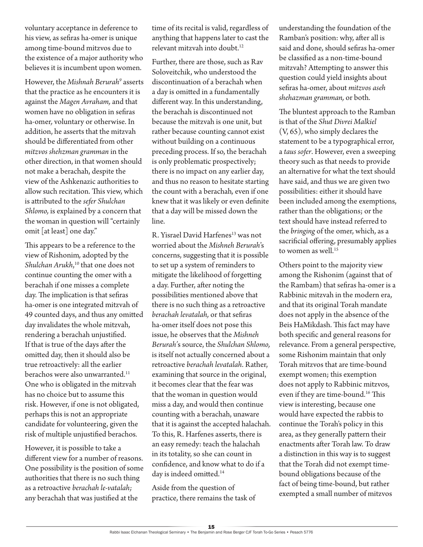voluntary acceptance in deference to his view, as sefiras ha-omer is unique among time-bound mitzvos due to the existence of a major authority who believes it is incumbent upon women.

However, the *Mishnah Berurah<sup>9</sup>* asserts that the practice as he encounters it is against the *Magen Avraham,* and that women have no obligation in sefiras ha-omer*,* voluntary or otherwise. In addition, he asserts that the mitzvah should be differentiated from other *mitzvos shehzman gramman* in the other direction, in that women should not make a berachah, despite the view of the Ashkenazic authorities to allow such recitation. This view, which is attributed to the *sefer Shulchan Shlomo,* is explained by a concern that the woman in question will "certainly omit [at least] one day."

This appears to be a reference to the view of Rishonim*,* adopted by the *Shulchan Arukh*, <sup>10</sup> that one does not continue counting the omer with a berachah if one misses a complete day. The implication is that sefiras ha-omer is one integrated mitzvah of 49 counted days, and thus any omitted day invalidates the whole mitzvah, rendering a berachah unjustified. If that is true of the days after the omitted day, then it should also be true retroactively: all the earlier berachos were also unwarranted.<sup>11</sup> One who is obligated in the mitzvah has no choice but to assume this risk. However, if one is not obligated, perhaps this is not an appropriate candidate for volunteering, given the risk of multiple unjustified berachos*.*

However, it is possible to take a different view for a number of reasons. One possibility is the position of some authorities that there is no such thing as a retroactive *berachah le-vatalah;*  any berachah that was justified at the

time of its recital is valid, regardless of anything that happens later to cast the relevant mitzvah into doubt.12

Further, there are those, such as Rav Soloveitchik, who understood the discontinuation of a berachah when a day is omitted in a fundamentally different way. In this understanding, the berachah is discontinued not because the mitzvah is one unit, but rather because counting cannot exist without building on a continuous preceding process. If so, the berachah is only problematic prospectively; there is no impact on any earlier day, and thus no reason to hesitate starting the count with a berachah*,* even if one knew that it was likely or even definite that a day will be missed down the line.

R. Yisrael David Harfenes<sup>13</sup> was not worried about the *Mishneh Berurah*'s concerns, suggesting that it is possible to set up a system of reminders to mitigate the likelihood of forgetting a day. Further, after noting the possibilities mentioned above that there is no such thing as a retroactive *berachah levatalah,* or that sefiras ha-omer itself does not pose this issue, he observes that the *Mishneh Berurah'*s source, the *Shulchan Shlomo,*  is itself not actually concerned about a retroactive *berachah levatalah*. Rather, examining that source in the original, it becomes clear that the fear was that the woman in question would miss a day, and would then continue counting with a berachah, unaware that it is against the accepted halachah. To this, R. Harfenes asserts, there is an easy remedy: teach the halachah in its totality, so she can count in confidence, and know what to do if a day is indeed omitted.<sup>14</sup>

Aside from the question of practice, there remains the task of understanding the foundation of the Ramban's position: why, after all is said and done, should sefiras ha-omer be classified as a non-time-bound mitzvah? Attempting to answer this question could yield insights about sefiras ha-omer, about *mitzvos aseh shehazman gramman,* or both.

The bluntest approach to the Ramban is that of the *Shut Divrei Malkiel*  (V, 65), who simply declares the statement to be a typographical error, a *taus sofer*. However, even a sweeping theory such as that needs to provide an alternative for what the text should have said, and thus we are given two possibilities: either it should have been included among the exemptions, rather than the obligations; or the text should have instead referred to the *bringing* of the omer, which, as a sacrificial offering, presumably applies to women as well.<sup>15</sup>

Others point to the majority view among the Rishonim (against that of the Rambam) that sefiras ha-omer is a Rabbinic mitzvah in the modern era, and that its original Torah mandate does not apply in the absence of the Beis HaMikdash. This fact may have both specific and general reasons for relevance. From a general perspective, some Rishonim maintain that only Torah mitzvos that are time-bound exempt women; this exemption does not apply to Rabbinic mitzvos, even if they are time-bound.<sup>16</sup> This view is interesting, because one would have expected the rabbis to continue the Torah's policy in this area, as they generally pattern their enactments after Torah law. To draw a distinction in this way is to suggest that the Torah did not exempt timebound obligations because of the fact of being time-bound, but rather exempted a small number of mitzvos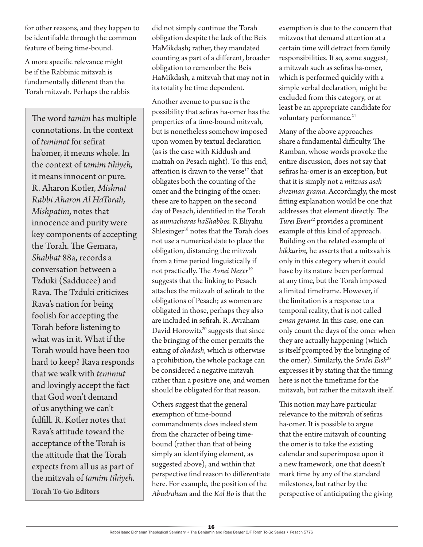for other reasons, and they happen to be identifiable through the common feature of being time-bound.

A more specific relevance might be if the Rabbinic mitzvah is fundamentally different than the Torah mitzvah*.* Perhaps the rabbis

The word *tamim* has multiple connotations. In the context of *temimot* for sefirat ha'omer, it means whole. In the context of *tamim tihiyeh,*  it means innocent or pure. R. Aharon Kotler, *Mishnat Rabbi Aharon Al HaTorah, Mishpatim*, notes that innocence and purity were key components of accepting the Torah. The Gemara, *Shabbat* 88a, records a conversation between a Tzduki (Sadducee) and Rava. The Tzduki criticizes Rava's nation for being foolish for accepting the Torah before listening to what was in it. What if the Torah would have been too hard to keep? Rava responds that we walk with *temimut* and lovingly accept the fact that God won't demand of us anything we can't fulfill. R. Kotler notes that Rava's attitude toward the acceptance of the Torah is the attitude that the Torah expects from all us as part of the mitzvah of *tamim tihiyeh.*  **Torah To Go Editors**

did not simply continue the Torah obligation despite the lack of the Beis HaMikdash; rather, they mandated counting as part of a different, broader obligation to remember the Beis HaMikdash*,* a mitzvah that may not in its totality be time dependent.

Another avenue to pursue is the possibility that sefiras ha-omer has the properties of a time-bound mitzvah*,*  but is nonetheless somehow imposed upon women by textual declaration (as is the case with Kiddush and matzah on Pesach night). To this end, attention is drawn to the verse<sup>17</sup> that obligates both the counting of the omer and the bringing of the omer: these are to happen on the second day of Pesach, identified in the Torah as *mimacharas haShabbos.* R Eliyahu Shlesinger<sup>18</sup> notes that the Torah does not use a numerical date to place the obligation, distancing the mitzvah from a time period linguistically if not practically. The *Avnei Nezer*<sup>19</sup> suggests that the linking to Pesach attaches the mitzvah of sefirah to the obligations of Pesach; as women are obligated in those, perhaps they also are included in sefirah*.* R. Avraham David Horowitz<sup>20</sup> suggests that since the bringing of the omer permits the eating of *chadash,* which is otherwise a prohibition, the whole package can be considered a negative mitzvah rather than a positive one, and women should be obligated for that reason.

Others suggest that the general exemption of time-bound commandments does indeed stem from the character of being timebound (rather than that of being simply an identifying element, as suggested above), and within that perspective find reason to differentiate here. For example, the position of the *Abudraham* and the *Kol Bo* is that the

exemption is due to the concern that mitzvos that demand attention at a certain time will detract from family responsibilities. If so, some suggest, a mitzvah such as sefiras ha-omer, which is performed quickly with a simple verbal declaration, might be excluded from this category, or at least be an appropriate candidate for voluntary performance.<sup>21</sup>

Many of the above approaches share a fundamental difficulty. The Ramban, whose words provoke the entire discussion, does not say that sefiras ha-omer is an exception, but that it is simply not a *mitzvas aseh shezman grama.* Accordingly, the most fitting explanation would be one that addresses that element directly. The *Turei Even<sup>22</sup>* provides a prominent example of this kind of approach. Building on the related example of *bikkurim,* he asserts that a mitzvah is only in this category when it could have by its nature been performed at any time, but the Torah imposed a limited timeframe. However, if the limitation is a response to a temporal reality, that is not called *zman gerama.* In this case, one can only count the days of the omer when they are actually happening (which is itself prompted by the bringing of the omer). Similarly, the *Sridei Eish<sup>23</sup>* expresses it by stating that the timing here is not the timeframe for the mitzvah, but rather the mitzvah itself.

This notion may have particular relevance to the mitzvah of sefiras ha-omer. It is possible to argue that the entire mitzvah of counting the omer is to take the existing calendar and superimpose upon it a new framework, one that doesn't mark time by any of the standard milestones, but rather by the perspective of anticipating the giving